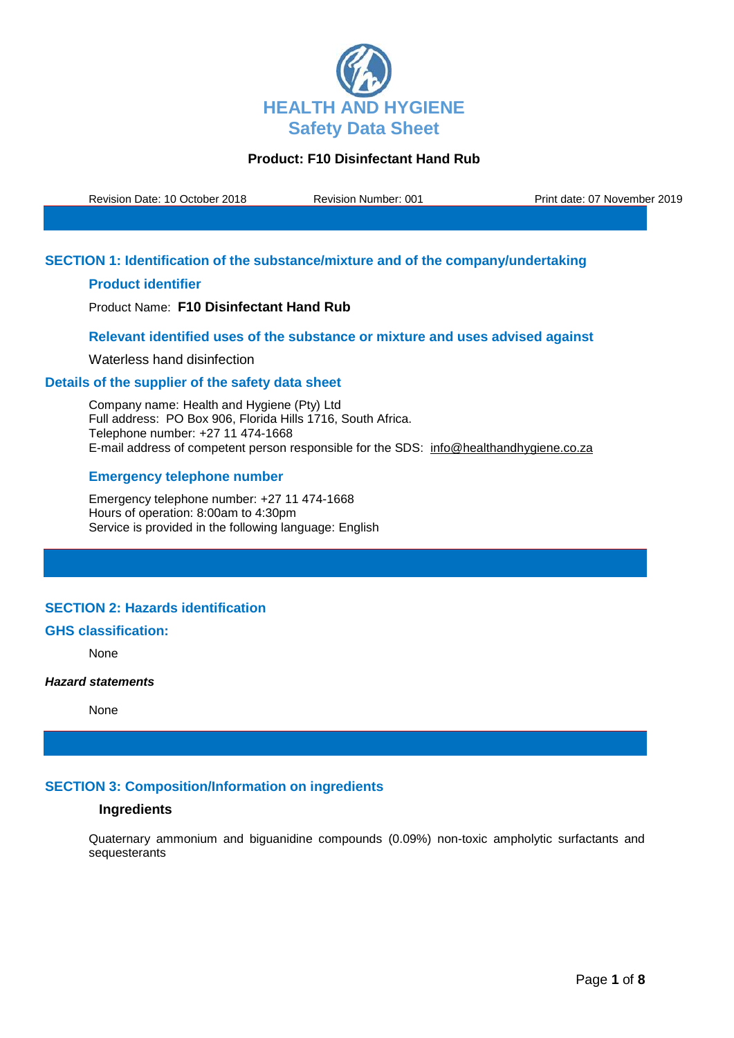

Revision Date: 10 October 2018 Revision Number: 001 Print date: 07 November 2019

## **SECTION 1: Identification of the substance/mixture and of the company/undertaking**

## **Product identifier**

Product Name: **F10 Disinfectant Hand Rub**

### **Relevant identified uses of the substance or mixture and uses advised against**

Waterless hand disinfection

### **Details of the supplier of the safety data sheet**

Company name: Health and Hygiene (Pty) Ltd Full address: PO Box 906, Florida Hills 1716, South Africa. Telephone number: +27 11 474-1668 E-mail address of competent person responsible for the SDS: info@healthandhygiene.co.za

## **Emergency telephone number**

Emergency telephone number: +27 11 474-1668 Hours of operation: 8:00am to 4:30pm Service is provided in the following language: English

# **SECTION 2: Hazards identification**

### **GHS classification:**

None

#### *Hazard statements*

None

## **SECTION 3: Composition/Information on ingredients**

### **Ingredients**

Quaternary ammonium and biguanidine compounds (0.09%) non-toxic ampholytic surfactants and sequesterants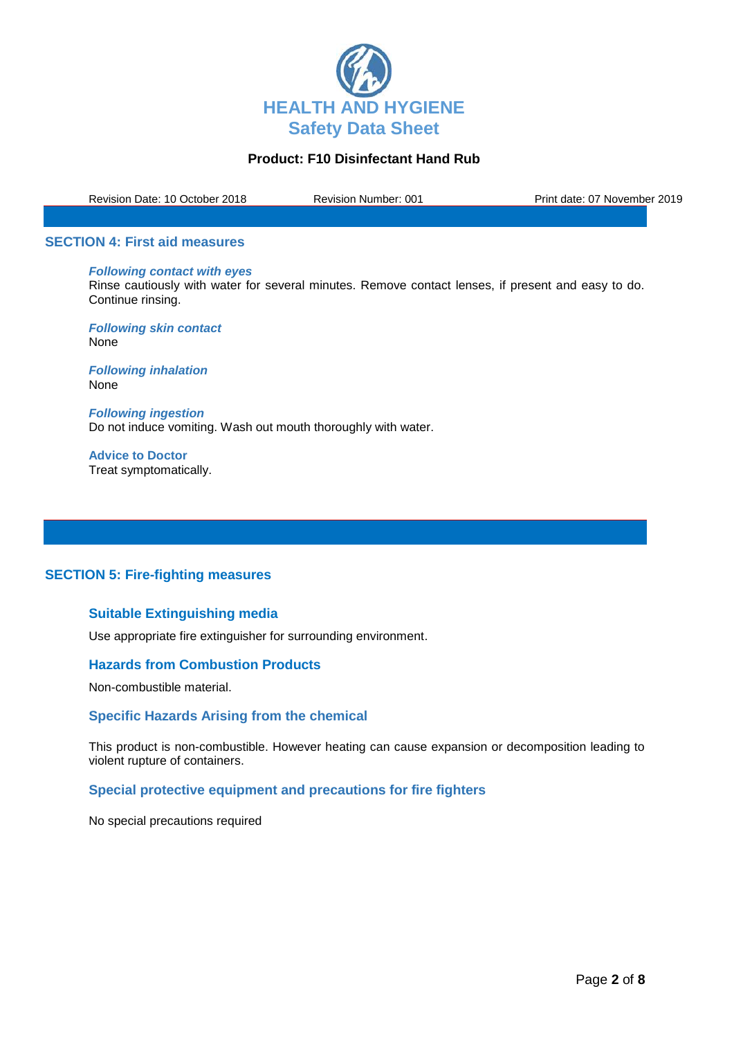

Revision Date: 10 October 2018 Revision Number: 001 Print date: 07 November 2019

#### **SECTION 4: First aid measures**

# *Following contact with eyes*

Rinse cautiously with water for several minutes. Remove contact lenses, if present and easy to do. Continue rinsing.

*Following skin contact* None

*Following inhalation* None

*Following ingestion* Do not induce vomiting. Wash out mouth thoroughly with water.

**Advice to Doctor** Treat symptomatically.

## **SECTION 5: Fire-fighting measures**

# **Suitable Extinguishing media**

Use appropriate fire extinguisher for surrounding environment.

#### **Hazards from Combustion Products**

Non-combustible material.

#### **Specific Hazards Arising from the chemical**

This product is non-combustible. However heating can cause expansion or decomposition leading to violent rupture of containers.

## **Special protective equipment and precautions for fire fighters**

No special precautions required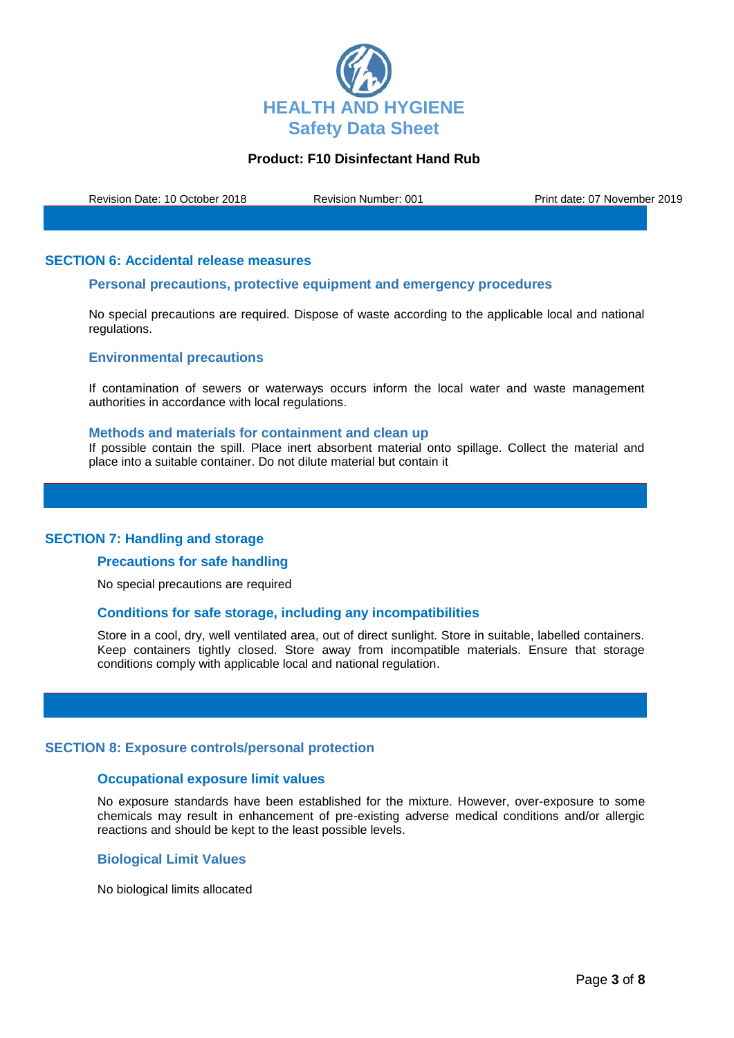

Revision Date: 10 October 2018 Revision Number: 001 Print date: 07 November 2019

### **SECTION 6: Accidental release measures**

## **Personal precautions, protective equipment and emergency procedures**

No special precautions are required. Dispose of waste according to the applicable local and national regulations.

#### **Environmental precautions**

If contamination of sewers or waterways occurs inform the local water and waste management authorities in accordance with local regulations.

#### **Methods and materials for containment and clean up**

If possible contain the spill. Place inert absorbent material onto spillage. Collect the material and place into a suitable container. Do not dilute material but contain it

#### **SECTION 7: Handling and storage**

#### **Precautions for safe handling**

No special precautions are required

#### **Conditions for safe storage, including any incompatibilities**

Store in a cool, dry, well ventilated area, out of direct sunlight. Store in suitable, labelled containers. Keep containers tightly closed. Store away from incompatible materials. Ensure that storage conditions comply with applicable local and national regulation.

#### **SECTION 8: Exposure controls/personal protection**

### **Occupational exposure limit values**

No exposure standards have been established for the mixture. However, over-exposure to some chemicals may result in enhancement of pre-existing adverse medical conditions and/or allergic reactions and should be kept to the least possible levels.

#### **Biological Limit Values**

No biological limits allocated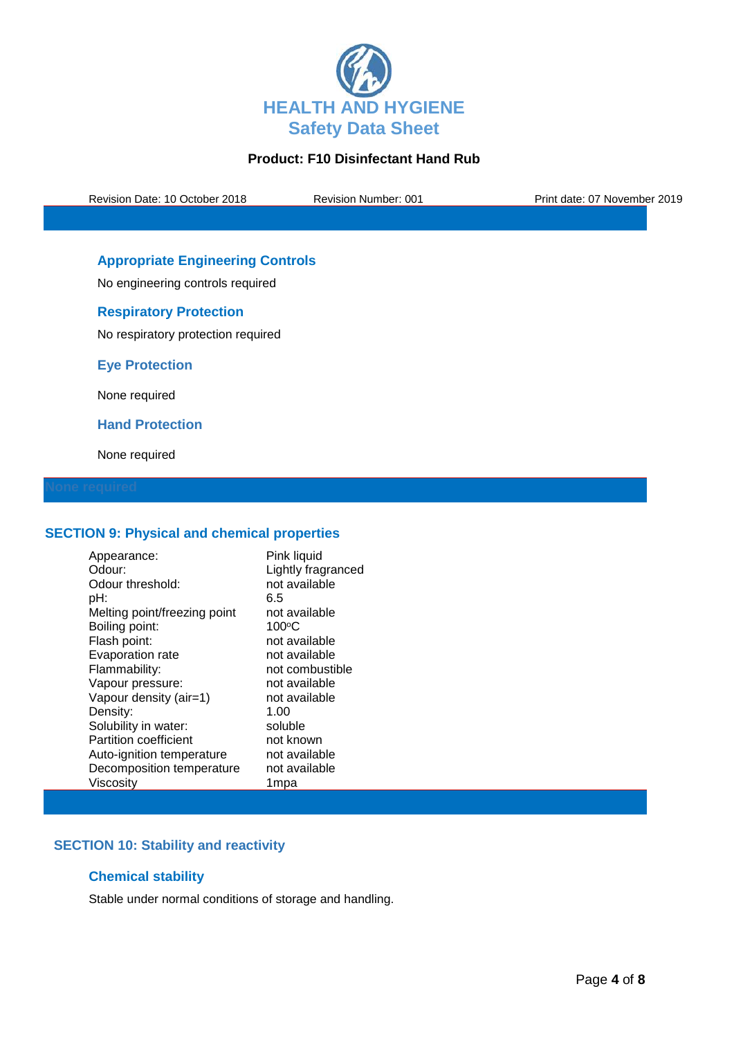

Revision Date: 10 October 2018 Revision Number: 001 Print date: 07 November 2019

# **Appropriate Engineering Controls**

No engineering controls required

## **Respiratory Protection**

No respiratory protection required

**Eye Protection**

None required

**Hand Protection**

None required

## **SECTION 9: Physical and chemical properties**

| Appearance:                  | Pink liquid        |
|------------------------------|--------------------|
| Odour:                       | Lightly fragranced |
| Odour threshold:             | not available      |
| pH:                          | 6.5                |
| Melting point/freezing point | not available      |
| Boiling point:               | $100^{\circ}$ C    |
| Flash point:                 | not available      |
| Evaporation rate             | not available      |
| Flammability:                | not combustible    |
| Vapour pressure:             | not available      |
| Vapour density (air=1)       | not available      |
| Density:                     | 1.00               |
| Solubility in water:         | soluble            |
| <b>Partition coefficient</b> | not known          |
| Auto-ignition temperature    | not available      |
| Decomposition temperature    | not available      |
| Viscosity                    | 1mpa               |

# **SECTION 10: Stability and reactivity**

## **Chemical stability**

Stable under normal conditions of storage and handling.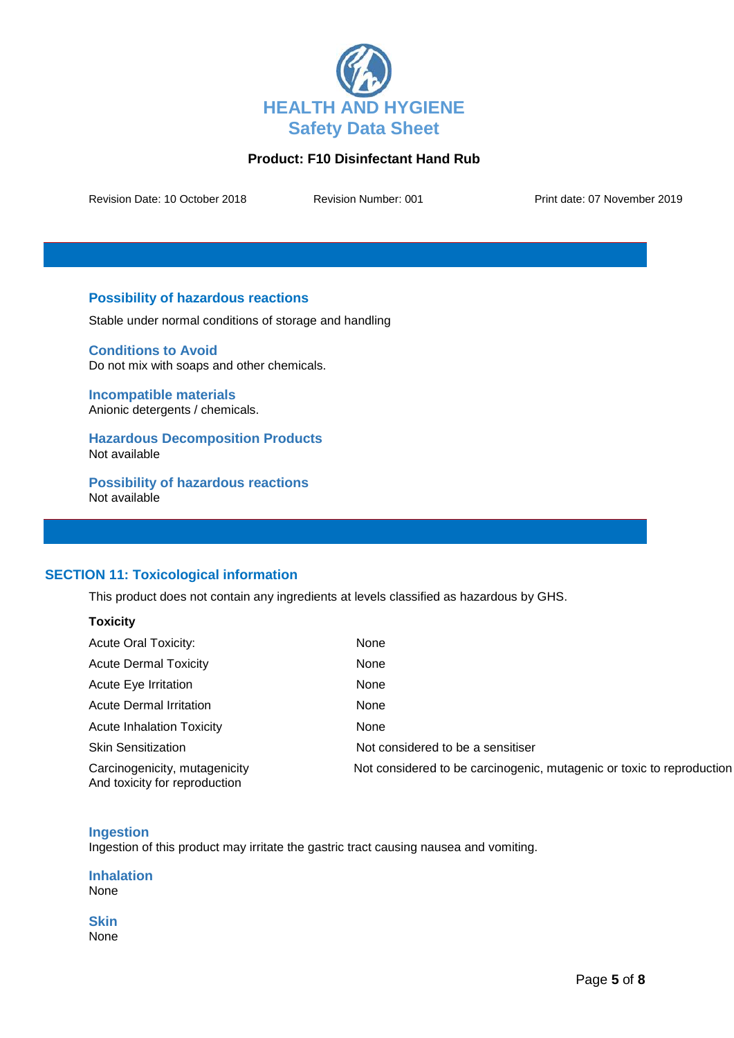

Revision Date: 10 October 2018 Revision Number: 001 Print date: 07 November 2019

## **Possibility of hazardous reactions**

Stable under normal conditions of storage and handling

**Conditions to Avoid** Do not mix with soaps and other chemicals.

**Incompatible materials** Anionic detergents / chemicals.

**Hazardous Decomposition Products** Not available

**Possibility of hazardous reactions** Not available

## **SECTION 11: Toxicological information**

This product does not contain any ingredients at levels classified as hazardous by GHS.

| <b>Toxicity</b>                                                |                                                                       |
|----------------------------------------------------------------|-----------------------------------------------------------------------|
| <b>Acute Oral Toxicity:</b>                                    | <b>None</b>                                                           |
| <b>Acute Dermal Toxicity</b>                                   | None                                                                  |
| Acute Eye Irritation                                           | None                                                                  |
| Acute Dermal Irritation                                        | None                                                                  |
| <b>Acute Inhalation Toxicity</b>                               | None                                                                  |
| <b>Skin Sensitization</b>                                      | Not considered to be a sensitiser                                     |
| Carcinogenicity, mutagenicity<br>And toxicity for reproduction | Not considered to be carcinogenic, mutagenic or toxic to reproduction |

## **Ingestion**

Ingestion of this product may irritate the gastric tract causing nausea and vomiting.

**Inhalation** None

**Skin** None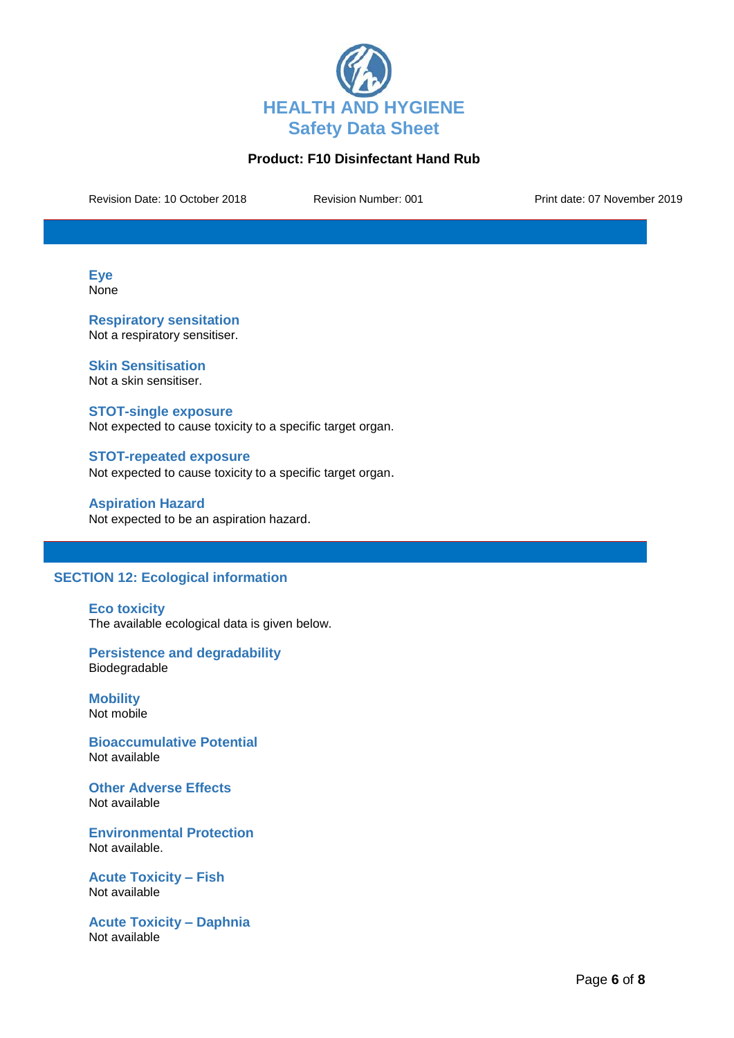

Revision Date: 10 October 2018 Revision Number: 001 Print date: 07 November 2019

**Eye** None

**Respiratory sensitation** Not a respiratory sensitiser.

**Skin Sensitisation** Not a skin sensitiser.

**STOT-single exposure** Not expected to cause toxicity to a specific target organ.

**STOT-repeated exposure** Not expected to cause toxicity to a specific target organ.

**Aspiration Hazard** Not expected to be an aspiration hazard.

# **SECTION 12: Ecological information**

**Eco toxicity** The available ecological data is given below.

**Persistence and degradability** Biodegradable

**Mobility** Not mobile

**Bioaccumulative Potential** Not available

**Other Adverse Effects** Not available

**Environmental Protection** Not available.

**Acute Toxicity – Fish** Not available

**Acute Toxicity – Daphnia** Not available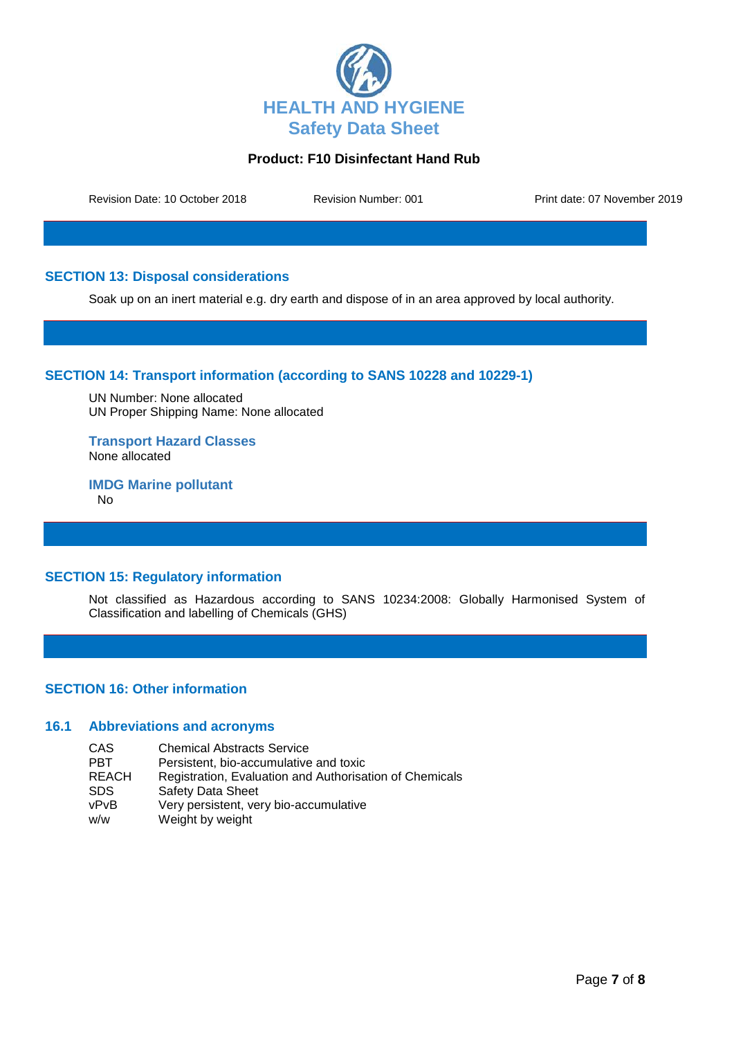

Revision Date: 10 October 2018 Revision Number: 001 Print date: 07 November 2019

## **SECTION 13: Disposal considerations**

Soak up on an inert material e.g. dry earth and dispose of in an area approved by local authority.

## **SECTION 14: Transport information (according to SANS 10228 and 10229-1)**

UN Number: None allocated UN Proper Shipping Name: None allocated

**Transport Hazard Classes** None allocated

**IMDG Marine pollutant** No

# **SECTION 15: Regulatory information**

Not classified as Hazardous according to SANS 10234:2008: Globally Harmonised System of Classification and labelling of Chemicals (GHS)

## **SECTION 16: Other information**

### **16.1 Abbreviations and acronyms**

CAS Chemical Abstracts Service<br>
PBT Persistent, bio-accumulative PBT Persistent, bio-accumulative and toxic<br>REACH Registration. Evaluation and Authorisa REACH Registration, Evaluation and Authorisation of Chemicals<br>SDS Safety Data Sheet Safety Data Sheet vPvB Very persistent, very bio-accumulative w/w Weight by weight